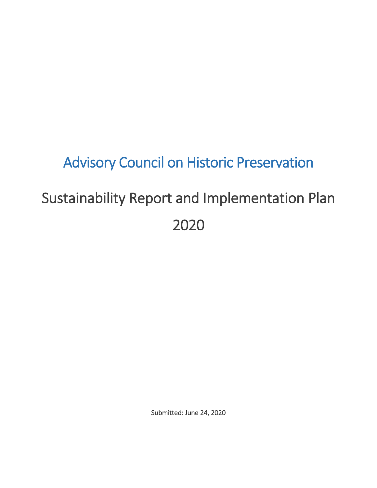## Advisory Council on Historic Preservation Sustainability Report and Implementation Plan

## 2020

Submitted: June 24, 2020